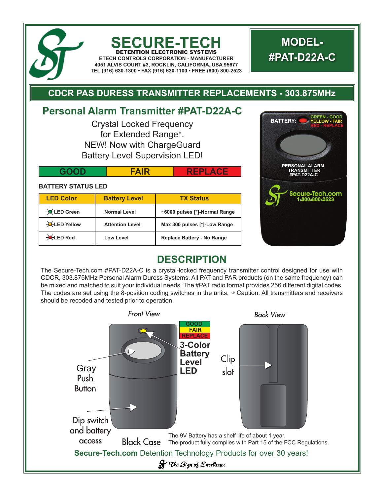

### **SECURE-TECH** DETENTION ELECTRONIC SYSTEMS

**ETECH CONTROLS CORPORATION - MANUFACTURER 4051 ALVIS COURT #3, ROCKLIN, CALIFORNIA, USA 95677 TEL (916) 630-1300 • FAX (916) 630-1100 • FREE (800) 800-2523**

# **MODEL- #PAT-D22A-C**

## **CDCR PAS DURESS TRANSMITTER REPLACEMENTS - 303.875MHz**

# **Personal Alarm Transmitter #PAT-D22A-C**

Crystal Locked Frequency for Extended Range\*. NEW! Now with ChargeGuard Battery Level Supervision LED!

|  | w | <b>PERSUNAL ALAR</b><br><b>TRANSMITTER</b><br>D22A-C |
|--|---|------------------------------------------------------|
|  |   |                                                      |

### **BATTERY STATUS LED**

| <b>LED Color</b>    | <b>Battery Level</b>   | <b>TX Status</b>                  |
|---------------------|------------------------|-----------------------------------|
| <b>X</b> LED Green  | <b>Normal Level</b>    | ~6000 pulses [*]-Normal Range     |
| <b>X</b> LED Yellow | <b>Attention Level</b> | Max 300 pulses [*]-Low Range      |
| <b>X</b> LED Red    | <b>Low Level</b>       | <b>Replace Battery - No Range</b> |



## **DESCRIPTION**

The Secure-Tech.com #PAT-D22A-C is a crystal-locked frequency transmitter control designed for use with CDCR, 303.875MHz Personal Alarm Duress Systems. All PAT and PAR products (on the same frequency) can be mixed and matched to suit your individual needs. The #PAT radio format provides 256 different digital codes. The codes are set using the 8-position coding switches in the units.  $\infty$  Caution: All transmitters and receivers should be recoded and tested prior to operation.